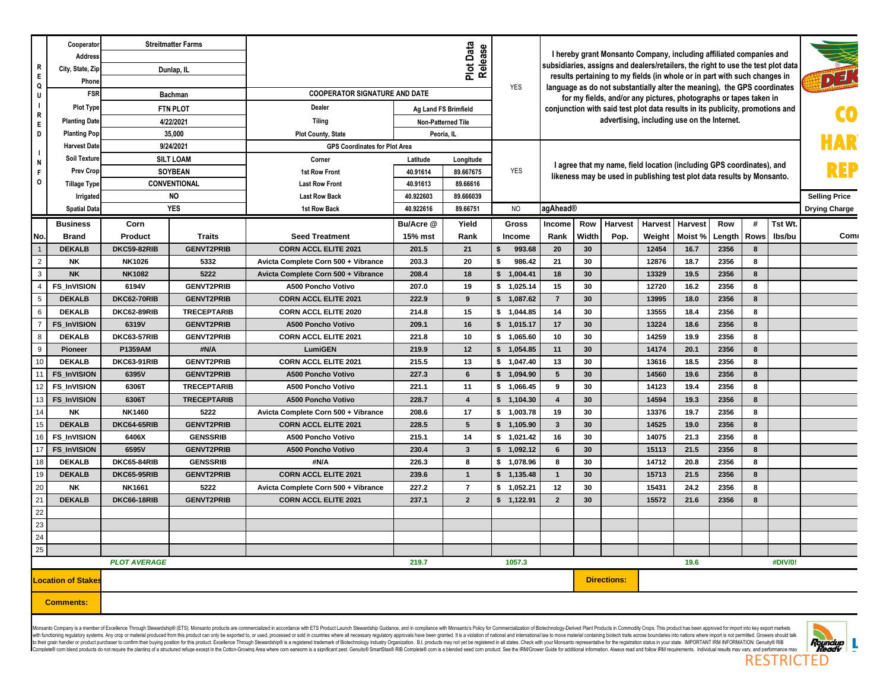| $\mathbf R$                | Cooperator<br>Address<br>City, State, Zip |                     | <b>Streitmatter Farms</b><br>Dunlap, IL |                                          |                      | Plot Data<br>Release  |                          |                                                                                                                                                 | I hereby grant Monsanto Company, including affiliated companies and<br>subsidiaries, assigns and dealers/retailers, the right to use the test plot data |                    |                |              |              |        |         |                      |
|----------------------------|-------------------------------------------|---------------------|-----------------------------------------|------------------------------------------|----------------------|-----------------------|--------------------------|-------------------------------------------------------------------------------------------------------------------------------------------------|---------------------------------------------------------------------------------------------------------------------------------------------------------|--------------------|----------------|--------------|--------------|--------|---------|----------------------|
| $\mathsf E$<br>Q           | Phone                                     |                     |                                         |                                          |                      |                       | <b>YES</b>               | results pertaining to my fields (in whole or in part with such changes in                                                                       |                                                                                                                                                         |                    |                |              | アヨ           |        |         |                      |
| U                          | <b>FSR</b>                                |                     | <b>Bachman</b>                          | <b>COOPERATOR SIGNATURE AND DATE</b>     |                      |                       |                          | language as do not substantially alter the meaning), the GPS coordinates<br>for my fields, and/or any pictures, photographs or tapes taken in   |                                                                                                                                                         |                    |                |              |              |        |         |                      |
| $\overline{\phantom{a}}$   | <b>Plot Type</b>                          |                     | <b>FTN PLOT</b>                         | Dealer                                   | Ag Land FS Brimfield |                       |                          |                                                                                                                                                 |                                                                                                                                                         |                    |                |              |              |        |         |                      |
| $\mathbf R$<br>$\mathsf E$ | <b>Planting Date</b>                      |                     | 4/22/2021                               | <b>Tiling</b>                            | Non-Patterned Tile   |                       |                          | conjunction with said test plot data results in its publicity, promotions and<br>advertising, including use on the Internet.                    |                                                                                                                                                         |                    |                |              |              |        |         |                      |
| D                          | <b>Planting Pop</b>                       |                     | 35,000                                  | <b>Plot County, State</b>                | Peoria, IL           |                       |                          |                                                                                                                                                 |                                                                                                                                                         |                    |                |              |              |        |         |                      |
| $\blacksquare$             | <b>Harvest Date</b>                       |                     | 9/24/2021                               | <b>GPS Coordinates for Plot Area</b>     |                      |                       |                          |                                                                                                                                                 |                                                                                                                                                         |                    |                |              |              |        |         |                      |
| N                          | <b>Soil Texture</b>                       |                     | <b>SILT LOAM</b>                        | Corner                                   | Latitude             | Longitude             |                          |                                                                                                                                                 |                                                                                                                                                         |                    |                |              |              |        |         |                      |
| -F                         | <b>Prev Crop</b>                          |                     | <b>SOYBEAN</b>                          | 1st Row Front                            | 40.91614             | 89.667675             | <b>YES</b>               | I agree that my name, field location (including GPS coordinates), and<br>likeness may be used in publishing test plot data results by Monsanto. |                                                                                                                                                         |                    |                |              |              |        |         |                      |
| $\circ$                    | <b>Tillage Type</b>                       |                     | CONVENTIONAL                            | <b>Last Row Front</b>                    | 40.91613             | 89.66616              |                          |                                                                                                                                                 |                                                                                                                                                         |                    |                |              |              |        |         |                      |
|                            | Irrigated                                 |                     | <b>NO</b>                               | <b>Last Row Back</b>                     | 40.922603            | 89.666039             |                          |                                                                                                                                                 |                                                                                                                                                         |                    |                |              |              |        |         | <b>Selling Price</b> |
|                            | <b>Spatial Data</b>                       |                     | <b>YES</b>                              | 1st Row Back                             | 40.922616            | 89.66751              | <b>NO</b>                | agAhead®                                                                                                                                        |                                                                                                                                                         |                    |                |              |              |        |         | <b>Drying Charge</b> |
|                            | <b>Business</b>                           | Corn                |                                         |                                          | Bu/Acre @            | Yield                 | Gross                    | Income                                                                                                                                          | Row                                                                                                                                                     | Harvest            | <b>Harvest</b> | Harvest      | Row          | #      | Tst Wt. |                      |
| No.                        | <b>Brand</b>                              | Product             | <b>Traits</b>                           | <b>Seed Treatment</b>                    | 15% mst              | Rank                  | Income                   | Rank                                                                                                                                            | Width                                                                                                                                                   | Pop.               | Weight         | Moist%       | Length       | Rows   | lbs/bu  | Com                  |
|                            | <b>DEKALB</b>                             | <b>DKC59-82RIB</b>  | <b>GENVT2PRIB</b>                       | <b>CORN ACCL ELITE 2021</b>              | 201.5                | 21                    | \$<br>993.68             | 20                                                                                                                                              | 30                                                                                                                                                      |                    | 12454          | 16.7         | 2356         | 8      |         |                      |
| $\overline{2}$             | <b>NK</b>                                 | NK1026              | 5332                                    | Avicta Complete Corn 500 + Vibrance      | 203.3                | 20                    | \$<br>986.42             | 21                                                                                                                                              | 30                                                                                                                                                      |                    | 12876          | 18.7         | 2356         | 8      |         |                      |
| 3                          | <b>NK</b>                                 | <b>NK1082</b>       | 5222                                    | Avicta Complete Corn 500 + Vibrance      | 208.4                | 18                    | $\mathsf{s}$<br>1,004.41 | 18                                                                                                                                              | 30                                                                                                                                                      |                    | 13329          | 19.5         | 2356         | 8      |         |                      |
| $\overline{4}$             | <b>FS InVISION</b>                        | 6194V               | <b>GENVT2PRIB</b>                       | A500 Poncho Votivo                       | 207.0                | 19                    | \$1,025.14               | 15                                                                                                                                              | 30                                                                                                                                                      |                    | 12720          | 16.2         | 2356         | 8      |         |                      |
| 5                          | <b>DEKALB</b>                             | DKC62-70RIB         | <b>GENVT2PRIB</b>                       | <b>CORN ACCL ELITE 2021</b>              | 222.9                | 9                     | \$1,087.62               | $\overline{7}$                                                                                                                                  | 30                                                                                                                                                      |                    | 13995          | 18.0         | 2356         | 8      |         |                      |
| 6                          | <b>DEKALB</b>                             | DKC62-89RIB         | <b>TRECEPTARIB</b>                      | <b>CORN ACCL ELITE 2020</b>              | 214.8                | 15                    | \$1.044.85               | 14                                                                                                                                              | 30                                                                                                                                                      |                    | 13555          | 18.4         | 2356         | 8      |         |                      |
| $\overline{7}$             | <b>FS InVISION</b>                        | 6319V               | <b>GENVT2PRIB</b>                       | A500 Poncho Votivo                       | 209.1                | 16                    | \$1,015.17               | 17                                                                                                                                              | 30                                                                                                                                                      |                    | 13224          | 18.6         | 2356         | 8      |         |                      |
| 8                          | <b>DEKALB</b>                             | DKC63-57RIB         | <b>GENVT2PRIB</b>                       | <b>CORN ACCL ELITE 2021</b>              | 221.8                | 10                    | \$1,065.60               | 10                                                                                                                                              | 30                                                                                                                                                      |                    | 14259          | 19.9         | 2356         | 8      |         |                      |
| 9                          | Pioneer                                   | P1359AM             | #N/A                                    | LumiGEN                                  | 219.9                | 12                    | \$1,054.85               | 11                                                                                                                                              | 30                                                                                                                                                      |                    | 14174          | 20.1         | 2356         | 8      |         |                      |
| 10                         | <b>DEKALB</b>                             | DKC63-91RIB         | <b>GENVT2PRIB</b>                       | <b>CORN ACCL ELITE 2021</b>              | 215.5                | 13                    | \$1,047.40               | 13                                                                                                                                              | 30                                                                                                                                                      |                    | 13616          | 18.5         | 2356         | 8      |         |                      |
|                            | <b>FS InVISION</b>                        | 6395V               | <b>GENVT2PRIB</b>                       | A500 Poncho Votivo                       | 227.3                | $6\phantom{1}$        | \$1,094.90               | $5\phantom{.0}$                                                                                                                                 | 30                                                                                                                                                      |                    | 14560          | 19.6         | 2356         | 8      |         |                      |
| 12                         | <b>FS InVISION</b>                        | 6306T               | <b>TRECEPTARIB</b>                      | A500 Poncho Votivo                       | 221.1                | 11                    | \$1,066.45               | 9                                                                                                                                               | 30                                                                                                                                                      |                    | 14123          | 19.4         | 2356         | 8      |         |                      |
| 13                         | <b>FS InVISION</b>                        | 6306T               | <b>TRECEPTARIB</b>                      | A500 Poncho Votivo                       | 228.7                | $\overline{4}$        | \$1,104.30               | $\overline{4}$                                                                                                                                  | 30                                                                                                                                                      |                    | 14594          | 19.3         | 2356         | 8      |         |                      |
| 14<br>15                   | <b>NK</b><br><b>DEKALB</b>                | <b>NK1460</b>       | 5222                                    | Avicta Complete Corn 500 + Vibrance      | 208.6<br>228.5       | 17<br>$5\phantom{.0}$ | \$1,003.78               | 19<br>$\overline{\mathbf{3}}$                                                                                                                   | 30<br>30                                                                                                                                                |                    | 13376<br>14525 | 19.7<br>19.0 | 2356<br>2356 | 8<br>8 |         |                      |
| 16                         |                                           | DKC64-65RIB         | <b>GENVT2PRIB</b>                       | <b>CORN ACCL ELITE 2021</b>              | 215.1                |                       | \$1,105.90               | 16                                                                                                                                              | 30                                                                                                                                                      |                    |                | 21.3         | 2356         | 8      |         |                      |
| 17                         | <b>FS InVISION</b><br><b>FS InVISION</b>  | 6406X<br>6595V      | <b>GENSSRIB</b><br><b>GENVT2PRIB</b>    | A500 Poncho Votivo<br>A500 Poncho Votivo | 230.4                | 14<br>$\mathbf{3}$    | \$1,021.42<br>\$1,092.12 | 6                                                                                                                                               | 30                                                                                                                                                      |                    | 14075<br>15113 | 21.5         | 2356         | 8      |         |                      |
| 18                         | <b>DEKALB</b>                             | DKC65-84RIB         | <b>GENSSRIB</b>                         | #N/A                                     | 226.3                | 8                     | \$1,078.96               | 8                                                                                                                                               | 30                                                                                                                                                      |                    | 14712          | 20.8         | 2356         | 8      |         |                      |
| 19                         | <b>DEKALB</b>                             | DKC65-95RIB         | <b>GENVT2PRIB</b>                       | <b>CORN ACCL ELITE 2021</b>              | 239.6                | $\overline{1}$        | \$1,135.48               | $\mathbf{1}$                                                                                                                                    | 30                                                                                                                                                      |                    | 15713          | 21.5         | 2356         | 8      |         |                      |
| 20                         | <b>NK</b>                                 | <b>NK1661</b>       | 5222                                    | Avicta Complete Corn 500 + Vibrance      | 227.2                | $\overline{7}$        | \$1,052.21               | 12                                                                                                                                              | 30                                                                                                                                                      |                    | 15431          | 24.2         | 2356         | 8      |         |                      |
| 21                         | <b>DEKALB</b>                             | <b>DKC66-18RIB</b>  | <b>GENVT2PRIB</b>                       | <b>CORN ACCL ELITE 2021</b>              | 237.1                | $\overline{2}$        | \$1,122.91               | $\overline{2}$                                                                                                                                  | 30                                                                                                                                                      |                    | 15572          | 21.6         | 2356         | 8      |         |                      |
| 22                         |                                           |                     |                                         |                                          |                      |                       |                          |                                                                                                                                                 |                                                                                                                                                         |                    |                |              |              |        |         |                      |
| 23                         |                                           |                     |                                         |                                          |                      |                       |                          |                                                                                                                                                 |                                                                                                                                                         |                    |                |              |              |        |         |                      |
| 24                         |                                           |                     |                                         |                                          |                      |                       |                          |                                                                                                                                                 |                                                                                                                                                         |                    |                |              |              |        |         |                      |
| 25                         |                                           |                     |                                         |                                          |                      |                       |                          |                                                                                                                                                 |                                                                                                                                                         |                    |                |              |              |        |         |                      |
|                            |                                           | <b>PLOT AVERAGE</b> |                                         |                                          | 219.7                |                       | 1057.3                   |                                                                                                                                                 |                                                                                                                                                         |                    |                | 19.6         |              |        | #DIV/0! |                      |
|                            | <b>Location of Stakes</b>                 |                     |                                         |                                          |                      |                       |                          |                                                                                                                                                 |                                                                                                                                                         | <b>Directions:</b> |                |              |              |        |         |                      |
|                            | <b>Comments:</b>                          |                     |                                         |                                          |                      |                       |                          |                                                                                                                                                 |                                                                                                                                                         |                    |                |              |              |        |         |                      |

Monsanto Company is a member of Excellence Through Stewardship® (ETS). Monsanto products are commercialized in accordance with ETS Product Launch Stewardship Guidance, and in compliance with Monsanto's Policy for Commercia to their grain handler or product purchaser to confirm their buying position for this product. Excellence Through Stevardship® is a registered trademark of Biolechnology Industry Organization. B.t. products may not yet be



in Equipment and the contract of the contract of the contract of the contract of the contract of the contract o **RESTRICTED**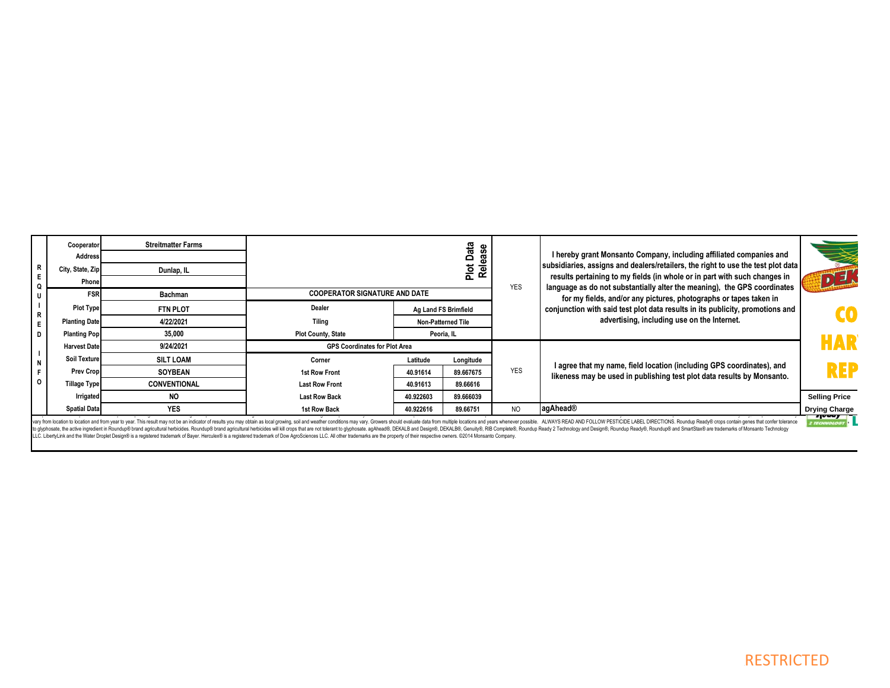|                      |                                                                                                                                                                                                                            |                |                      |                      |                                      | <b>Streitmatter Farms</b> | Cooperator           |
|----------------------|----------------------------------------------------------------------------------------------------------------------------------------------------------------------------------------------------------------------------|----------------|----------------------|----------------------|--------------------------------------|---------------------------|----------------------|
|                      | I hereby grant Monsanto Company, including affiliated companies and                                                                                                                                                        |                | Data                 |                      |                                      |                           | <b>Address</b>       |
|                      | subsidiaries, assigns and dealers/retailers, the right to use the test plot data                                                                                                                                           |                | Plot Data<br>Release |                      |                                      | Dunlap, IL                | City, State, Zip     |
| リョ                   | results pertaining to my fields (in whole or in part with such changes in<br>language as do not substantially alter the meaning), the GPS coordinates<br>for my fields, and/or any pictures, photographs or tapes taken in |                |                      |                      |                                      |                           | Phone                |
|                      |                                                                                                                                                                                                                            |                |                      |                      | <b>COOPERATOR SIGNATURE AND DATE</b> | Bachman                   | <b>FSR</b>           |
| d d                  | conjunction with said test plot data results in its publicity, promotions and                                                                                                                                              |                |                      | Ag Land FS Brimfield | Dealer                               | <b>FTN PLOT</b>           | <b>Plot Type</b>     |
|                      | advertising, including use on the Internet.                                                                                                                                                                                |                |                      | Non-Patterned Tile   | <b>Tiling</b>                        | 4/22/2021                 | <b>Planting Date</b> |
|                      |                                                                                                                                                                                                                            |                |                      | Peoria, IL           | <b>Plot County, State</b>            | 35,000                    | <b>Planting Pop</b>  |
| HAR                  |                                                                                                                                                                                                                            |                |                      |                      | <b>GPS Coordinates for Plot Area</b> | 9/24/2021                 | <b>Harvest Date</b>  |
|                      |                                                                                                                                                                                                                            |                | Longitude            | Latitude             | Corner                               | <b>SILT LOAM</b>          | <b>Soil Texture</b>  |
| REF                  | I agree that my name, field location (including GPS coordinates), and<br>likeness may be used in publishing test plot data results by Monsanto.                                                                            | <b>YES</b>     | 89.667675            | 40.91614             | 1st Row Front                        | <b>SOYBEAN</b>            | Prev Crop            |
|                      |                                                                                                                                                                                                                            |                | 89.66616             | 40.91613             | <b>Last Row Front</b>                | <b>CONVENTIONAL</b>       | <b>Tillage Type</b>  |
| <b>Selling Price</b> |                                                                                                                                                                                                                            |                | 89.666039            | 40.922603            | <b>Last Row Back</b>                 | <b>NO</b>                 | Irrigated            |
| <b>Drying Charge</b> | agAhead®                                                                                                                                                                                                                   | N <sub>O</sub> | 89.66751             | 40.922616            | 1st Row Back                         | <b>YES</b>                | <b>Spatial Data</b>  |

vary from bcation to location and from year tower. This result may not be an indicator of results you may obtain as local growing, soil and weather conditions may vary. Growers should evaluate data from multiple locations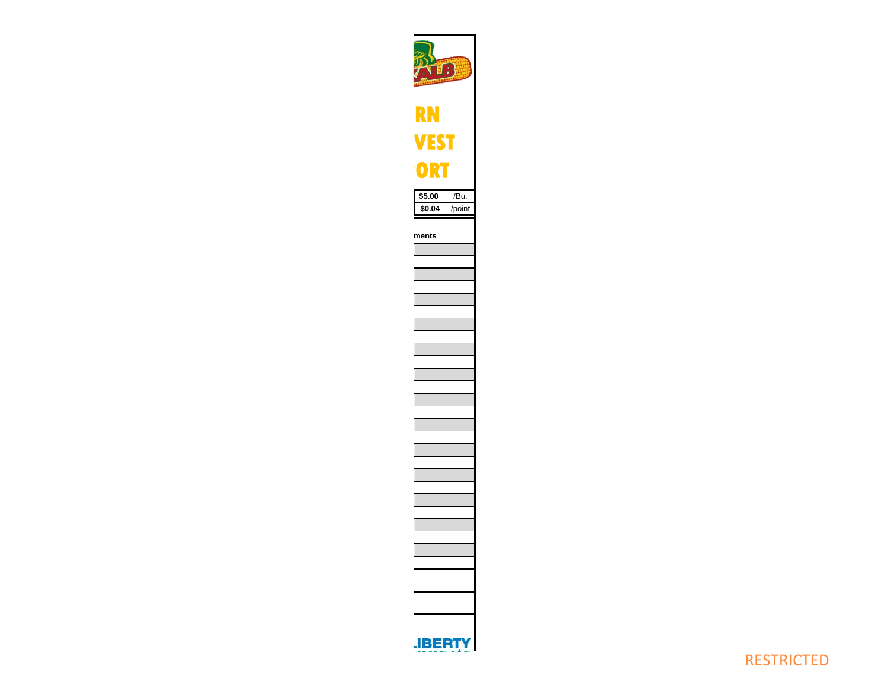